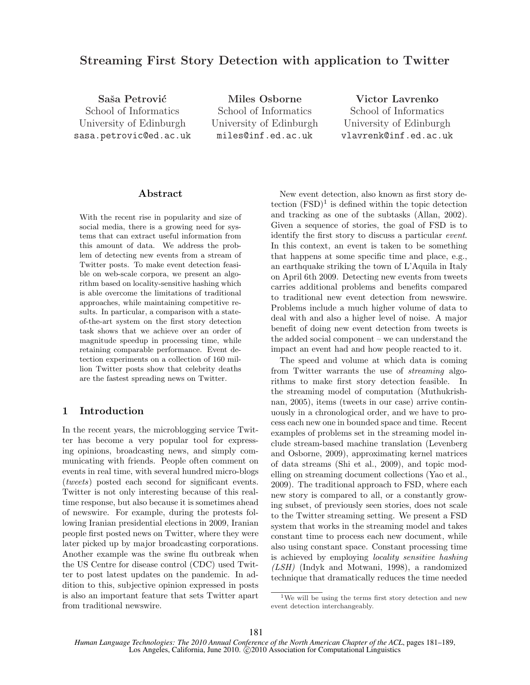# Streaming First Story Detection with application to Twitter

Saša Petrović School of Informatics University of Edinburgh sasa.petrovic@ed.ac.uk

Miles Osborne School of Informatics University of Edinburgh miles@inf.ed.ac.uk

Victor Lavrenko School of Informatics University of Edinburgh vlavrenk@inf.ed.ac.uk

# Abstract

With the recent rise in popularity and size of social media, there is a growing need for systems that can extract useful information from this amount of data. We address the problem of detecting new events from a stream of Twitter posts. To make event detection feasible on web-scale corpora, we present an algorithm based on locality-sensitive hashing which is able overcome the limitations of traditional approaches, while maintaining competitive results. In particular, a comparison with a stateof-the-art system on the first story detection task shows that we achieve over an order of magnitude speedup in processing time, while retaining comparable performance. Event detection experiments on a collection of 160 million Twitter posts show that celebrity deaths are the fastest spreading news on Twitter.

# 1 Introduction

In the recent years, the microblogging service Twitter has become a very popular tool for expressing opinions, broadcasting news, and simply communicating with friends. People often comment on events in real time, with several hundred micro-blogs (tweets) posted each second for significant events. Twitter is not only interesting because of this realtime response, but also because it is sometimes ahead of newswire. For example, during the protests following Iranian presidential elections in 2009, Iranian people first posted news on Twitter, where they were later picked up by major broadcasting corporations. Another example was the swine flu outbreak when the US Centre for disease control (CDC) used Twitter to post latest updates on the pandemic. In addition to this, subjective opinion expressed in posts is also an important feature that sets Twitter apart from traditional newswire.

New event detection, also known as first story detection  $(FSD)^1$  is defined within the topic detection and tracking as one of the subtasks (Allan, 2002). Given a sequence of stories, the goal of FSD is to identify the first story to discuss a particular event. In this context, an event is taken to be something that happens at some specific time and place, e.g., an earthquake striking the town of L'Aquila in Italy on April 6th 2009. Detecting new events from tweets carries additional problems and benefits compared to traditional new event detection from newswire. Problems include a much higher volume of data to deal with and also a higher level of noise. A major benefit of doing new event detection from tweets is the added social component – we can understand the impact an event had and how people reacted to it.

The speed and volume at which data is coming from Twitter warrants the use of streaming algorithms to make first story detection feasible. In the streaming model of computation (Muthukrishnan, 2005), items (tweets in our case) arrive continuously in a chronological order, and we have to process each new one in bounded space and time. Recent examples of problems set in the streaming model include stream-based machine translation (Levenberg and Osborne, 2009), approximating kernel matrices of data streams (Shi et al., 2009), and topic modelling on streaming document collections (Yao et al., 2009). The traditional approach to FSD, where each new story is compared to all, or a constantly growing subset, of previously seen stories, does not scale to the Twitter streaming setting. We present a FSD system that works in the streaming model and takes constant time to process each new document, while also using constant space. Constant processing time is achieved by employing locality sensitive hashing (LSH) (Indyk and Motwani, 1998), a randomized technique that dramatically reduces the time needed

<sup>&</sup>lt;sup>1</sup>We will be using the terms first story detection and new event detection interchangeably.

*Human Language Technologies: The 2010 Annual Conference of the North American Chapter of the ACL*, pages 181–189, Los Angeles, California, June 2010. C 2010 Association for Computational Linguistics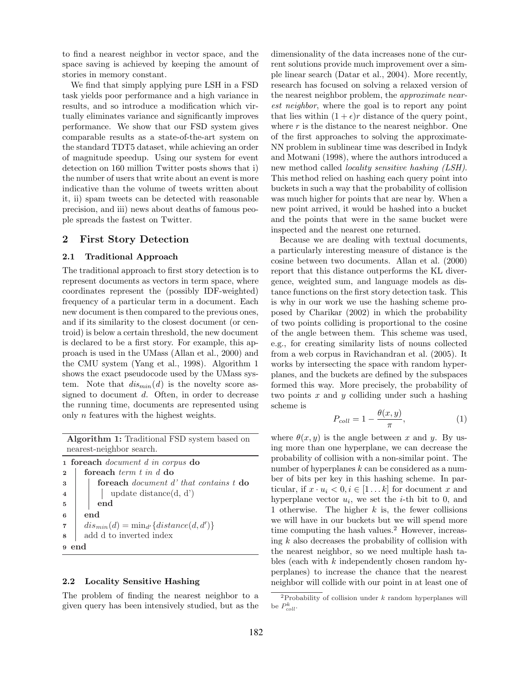to find a nearest neighbor in vector space, and the space saving is achieved by keeping the amount of stories in memory constant.

We find that simply applying pure LSH in a FSD task yields poor performance and a high variance in results, and so introduce a modification which virtually eliminates variance and significantly improves performance. We show that our FSD system gives comparable results as a state-of-the-art system on the standard TDT5 dataset, while achieving an order of magnitude speedup. Using our system for event detection on 160 million Twitter posts shows that i) the number of users that write about an event is more indicative than the volume of tweets written about it, ii) spam tweets can be detected with reasonable precision, and iii) news about deaths of famous people spreads the fastest on Twitter.

## 2 First Story Detection

### 2.1 Traditional Approach

The traditional approach to first story detection is to represent documents as vectors in term space, where coordinates represent the (possibly IDF-weighted) frequency of a particular term in a document. Each new document is then compared to the previous ones, and if its similarity to the closest document (or centroid) is below a certain threshold, the new document is declared to be a first story. For example, this approach is used in the UMass (Allan et al., 2000) and the CMU system (Yang et al., 1998). Algorithm 1 shows the exact pseudocode used by the UMass system. Note that  $dis_{min}(d)$  is the novelty score assigned to document d. Often, in order to decrease the running time, documents are represented using only n features with the highest weights.

Algorithm 1: Traditional FSD system based on nearest-neighbor search.

|                         | 1 foreach <i>document d in corpus</i> do            |  |  |  |
|-------------------------|-----------------------------------------------------|--|--|--|
| $\overline{2}$          | foreach <i>term</i> t in d do                       |  |  |  |
| $\overline{\mathbf{3}}$ | foreach <i>document d'</i> that contains t do       |  |  |  |
| $\overline{4}$          | update distance $(d, d')$                           |  |  |  |
| $\overline{5}$          | end                                                 |  |  |  |
| $6\overline{6}$         | end                                                 |  |  |  |
|                         | 7 $\mid dis_{min}(d) = min_{d'}\{distance(d, d')\}$ |  |  |  |
| $\overline{8}$          | add d to inverted index                             |  |  |  |
| 9                       |                                                     |  |  |  |

#### 2.2 Locality Sensitive Hashing

The problem of finding the nearest neighbor to a given query has been intensively studied, but as the dimensionality of the data increases none of the current solutions provide much improvement over a simple linear search (Datar et al., 2004). More recently, research has focused on solving a relaxed version of the nearest neighbor problem, the approximate nearest neighbor, where the goal is to report any point that lies within  $(1 + \epsilon)r$  distance of the query point, where  $r$  is the distance to the nearest neighbor. One of the first approaches to solving the approximate-NN problem in sublinear time was described in Indyk and Motwani (1998), where the authors introduced a new method called locality sensitive hashing (LSH). This method relied on hashing each query point into buckets in such a way that the probability of collision was much higher for points that are near by. When a new point arrived, it would be hashed into a bucket and the points that were in the same bucket were inspected and the nearest one returned.

Because we are dealing with textual documents, a particularly interesting measure of distance is the cosine between two documents. Allan et al. (2000) report that this distance outperforms the KL divergence, weighted sum, and language models as distance functions on the first story detection task. This is why in our work we use the hashing scheme proposed by Charikar (2002) in which the probability of two points colliding is proportional to the cosine of the angle between them. This scheme was used, e.g., for creating similarity lists of nouns collected from a web corpus in Ravichandran et al. (2005). It works by intersecting the space with random hyperplanes, and the buckets are defined by the subspaces formed this way. More precisely, the probability of two points  $x$  and  $y$  colliding under such a hashing scheme is

$$
P_{coll} = 1 - \frac{\theta(x, y)}{\pi},\tag{1}
$$

where  $\theta(x, y)$  is the angle between x and y. By using more than one hyperplane, we can decrease the probability of collision with a non-similar point. The number of hyperplanes  $k$  can be considered as a number of bits per key in this hashing scheme. In particular, if  $x \cdot u_i < 0, i \in [1 \dots k]$  for document x and hyperplane vector  $u_i$ , we set the *i*-th bit to 0, and 1 otherwise. The higher  $k$  is, the fewer collisions we will have in our buckets but we will spend more time computing the hash values.<sup>2</sup> However, increasing  $k$  also decreases the probability of collision with the nearest neighbor, so we need multiple hash tables (each with  $k$  independently chosen random hyperplanes) to increase the chance that the nearest neighbor will collide with our point in at least one of

<sup>&</sup>lt;sup>2</sup>Probability of collision under  $k$  random hyperplanes will be  $P_{coll}^k$ .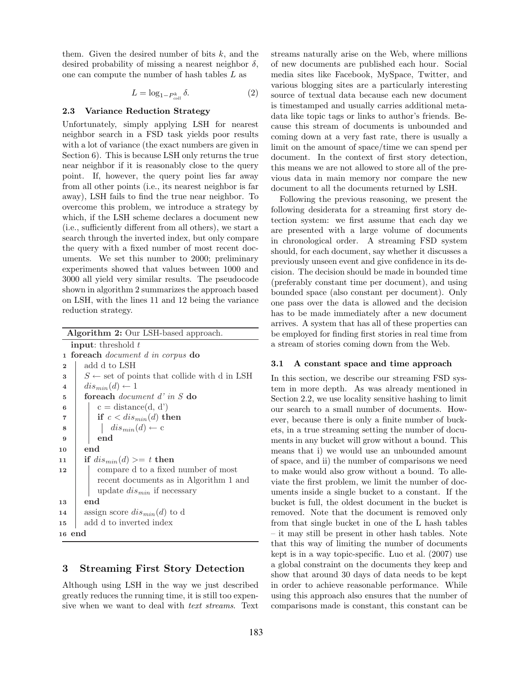them. Given the desired number of bits  $k$ , and the desired probability of missing a nearest neighbor  $\delta$ , one can compute the number of hash tables L as

$$
L = \log_{1-P_{coll}^k} \delta. \tag{2}
$$

## 2.3 Variance Reduction Strategy

Unfortunately, simply applying LSH for nearest neighbor search in a FSD task yields poor results with a lot of variance (the exact numbers are given in Section 6). This is because LSH only returns the true near neighbor if it is reasonably close to the query point. If, however, the query point lies far away from all other points (i.e., its nearest neighbor is far away), LSH fails to find the true near neighbor. To overcome this problem, we introduce a strategy by which, if the LSH scheme declares a document new (i.e., sufficiently different from all others), we start a search through the inverted index, but only compare the query with a fixed number of most recent documents. We set this number to 2000; preliminary experiments showed that values between 1000 and 3000 all yield very similar results. The pseudocode shown in algorithm 2 summarizes the approach based on LSH, with the lines 11 and 12 being the variance reduction strategy.

| Algorithm 2: Our LSH-based approach. |                                                         |  |  |  |  |
|--------------------------------------|---------------------------------------------------------|--|--|--|--|
|                                      | <b>input:</b> threshold $t$                             |  |  |  |  |
| 1                                    | foreach <i>document d in corpus</i> do                  |  |  |  |  |
| $\overline{2}$                       | add d to LSH                                            |  |  |  |  |
| 3                                    | $S \leftarrow$ set of points that collide with d in LSH |  |  |  |  |
| $\overline{\mathbf{4}}$              | $dis_{min}(d) \leftarrow 1$                             |  |  |  |  |
| 5                                    | foreach <i>document d'in S</i> do                       |  |  |  |  |
| 6                                    | $c = distance(d, d')$                                   |  |  |  |  |
| 7                                    | if $c < dis_{min}(d)$ then                              |  |  |  |  |
| 8                                    | $dis_{min}(d) \leftarrow c$                             |  |  |  |  |
| 9                                    | end                                                     |  |  |  |  |
| 10                                   | end                                                     |  |  |  |  |
| 11                                   | if $dis_{min}(d) >= t$ then                             |  |  |  |  |
| 12                                   | compare d to a fixed number of most                     |  |  |  |  |
|                                      | recent documents as in Algorithm 1 and                  |  |  |  |  |
|                                      | update $dis_{min}$ if necessary                         |  |  |  |  |
| 13                                   | end                                                     |  |  |  |  |
| 14                                   | assign score $dis_{min}(d)$ to d                        |  |  |  |  |
| 15                                   | add d to inverted index                                 |  |  |  |  |
| 16                                   | end                                                     |  |  |  |  |
|                                      |                                                         |  |  |  |  |

# 3 Streaming First Story Detection

Although using LSH in the way we just described greatly reduces the running time, it is still too expensive when we want to deal with text streams. Text streams naturally arise on the Web, where millions of new documents are published each hour. Social media sites like Facebook, MySpace, Twitter, and various blogging sites are a particularly interesting source of textual data because each new document is timestamped and usually carries additional metadata like topic tags or links to author's friends. Because this stream of documents is unbounded and coming down at a very fast rate, there is usually a limit on the amount of space/time we can spend per document. In the context of first story detection, this means we are not allowed to store all of the previous data in main memory nor compare the new document to all the documents returned by LSH.

Following the previous reasoning, we present the following desiderata for a streaming first story detection system: we first assume that each day we are presented with a large volume of documents in chronological order. A streaming FSD system should, for each document, say whether it discusses a previously unseen event and give confidence in its decision. The decision should be made in bounded time (preferably constant time per document), and using bounded space (also constant per document). Only one pass over the data is allowed and the decision has to be made immediately after a new document arrives. A system that has all of these properties can be employed for finding first stories in real time from a stream of stories coming down from the Web.

#### 3.1 A constant space and time approach

In this section, we describe our streaming FSD system in more depth. As was already mentioned in Section 2.2, we use locality sensitive hashing to limit our search to a small number of documents. However, because there is only a finite number of buckets, in a true streaming setting the number of documents in any bucket will grow without a bound. This means that i) we would use an unbounded amount of space, and ii) the number of comparisons we need to make would also grow without a bound. To alleviate the first problem, we limit the number of documents inside a single bucket to a constant. If the bucket is full, the oldest document in the bucket is removed. Note that the document is removed only from that single bucket in one of the L hash tables – it may still be present in other hash tables. Note that this way of limiting the number of documents kept is in a way topic-specific. Luo et al. (2007) use a global constraint on the documents they keep and show that around 30 days of data needs to be kept in order to achieve reasonable performance. While using this approach also ensures that the number of comparisons made is constant, this constant can be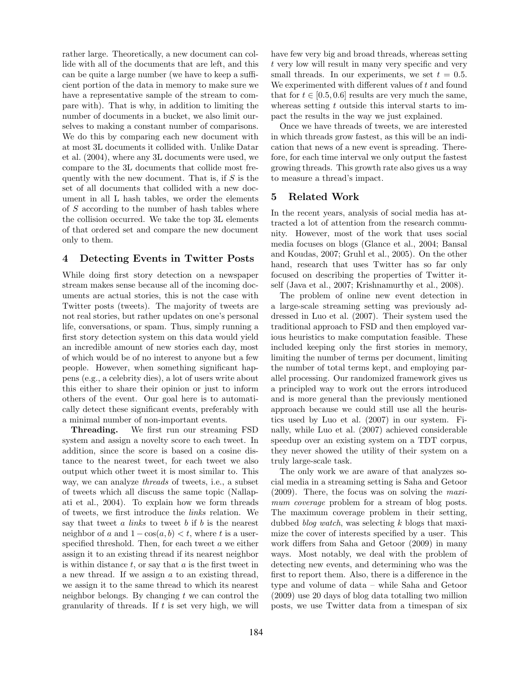rather large. Theoretically, a new document can collide with all of the documents that are left, and this can be quite a large number (we have to keep a sufficient portion of the data in memory to make sure we have a representative sample of the stream to compare with). That is why, in addition to limiting the number of documents in a bucket, we also limit ourselves to making a constant number of comparisons. We do this by comparing each new document with at most 3L documents it collided with. Unlike Datar et al. (2004), where any 3L documents were used, we compare to the 3L documents that collide most frequently with the new document. That is, if  $S$  is the set of all documents that collided with a new document in all L hash tables, we order the elements of  $S$  according to the number of hash tables where the collision occurred. We take the top 3L elements of that ordered set and compare the new document only to them.

# 4 Detecting Events in Twitter Posts

While doing first story detection on a newspaper stream makes sense because all of the incoming documents are actual stories, this is not the case with Twitter posts (tweets). The majority of tweets are not real stories, but rather updates on one's personal life, conversations, or spam. Thus, simply running a first story detection system on this data would yield an incredible amount of new stories each day, most of which would be of no interest to anyone but a few people. However, when something significant happens (e.g., a celebrity dies), a lot of users write about this either to share their opinion or just to inform others of the event. Our goal here is to automatically detect these significant events, preferably with a minimal number of non-important events.

Threading. We first run our streaming FSD system and assign a novelty score to each tweet. In addition, since the score is based on a cosine distance to the nearest tweet, for each tweet we also output which other tweet it is most similar to. This way, we can analyze threads of tweets, i.e., a subset of tweets which all discuss the same topic (Nallapati et al., 2004). To explain how we form threads of tweets, we first introduce the links relation. We say that tweet  $a$  links to tweet  $b$  if  $b$  is the nearest neighbor of a and  $1 - \cos(a, b) < t$ , where t is a userspecified threshold. Then, for each tweet a we either assign it to an existing thread if its nearest neighbor is within distance  $t$ , or say that  $a$  is the first tweet in a new thread. If we assign a to an existing thread, we assign it to the same thread to which its nearest neighbor belongs. By changing  $t$  we can control the granularity of threads. If  $t$  is set very high, we will have few very big and broad threads, whereas setting t very low will result in many very specific and very small threads. In our experiments, we set  $t = 0.5$ . We experimented with different values of  $t$  and found that for  $t \in [0.5, 0.6]$  results are very much the same, whereas setting  $t$  outside this interval starts to impact the results in the way we just explained.

Once we have threads of tweets, we are interested in which threads grow fastest, as this will be an indication that news of a new event is spreading. Therefore, for each time interval we only output the fastest growing threads. This growth rate also gives us a way to measure a thread's impact.

# 5 Related Work

In the recent years, analysis of social media has attracted a lot of attention from the research community. However, most of the work that uses social media focuses on blogs (Glance et al., 2004; Bansal and Koudas, 2007; Gruhl et al., 2005). On the other hand, research that uses Twitter has so far only focused on describing the properties of Twitter itself (Java et al., 2007; Krishnamurthy et al., 2008).

The problem of online new event detection in a large-scale streaming setting was previously addressed in Luo et al. (2007). Their system used the traditional approach to FSD and then employed various heuristics to make computation feasible. These included keeping only the first stories in memory, limiting the number of terms per document, limiting the number of total terms kept, and employing parallel processing. Our randomized framework gives us a principled way to work out the errors introduced and is more general than the previously mentioned approach because we could still use all the heuristics used by Luo et al. (2007) in our system. Finally, while Luo et al. (2007) achieved considerable speedup over an existing system on a TDT corpus, they never showed the utility of their system on a truly large-scale task.

The only work we are aware of that analyzes social media in a streaming setting is Saha and Getoor (2009). There, the focus was on solving the maximum *coverage* problem for a stream of blog posts. The maximum coverage problem in their setting, dubbed *blog watch*, was selecting  $k$  blogs that maximize the cover of interests specified by a user. This work differs from Saha and Getoor (2009) in many ways. Most notably, we deal with the problem of detecting new events, and determining who was the first to report them. Also, there is a difference in the type and volume of data – while Saha and Getoor (2009) use 20 days of blog data totalling two million posts, we use Twitter data from a timespan of six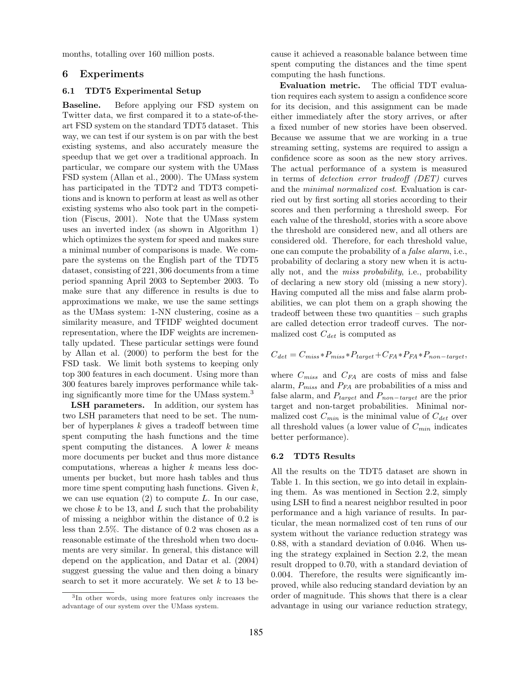months, totalling over 160 million posts.

### 6 Experiments

# 6.1 TDT5 Experimental Setup

Baseline. Before applying our FSD system on Twitter data, we first compared it to a state-of-theart FSD system on the standard TDT5 dataset. This way, we can test if our system is on par with the best existing systems, and also accurately measure the speedup that we get over a traditional approach. In particular, we compare our system with the UMass FSD system (Allan et al., 2000). The UMass system has participated in the TDT2 and TDT3 competitions and is known to perform at least as well as other existing systems who also took part in the competition (Fiscus, 2001). Note that the UMass system uses an inverted index (as shown in Algorithm 1) which optimizes the system for speed and makes sure a minimal number of comparisons is made. We compare the systems on the English part of the TDT5 dataset, consisting of 221, 306 documents from a time period spanning April 2003 to September 2003. To make sure that any difference in results is due to approximations we make, we use the same settings as the UMass system: 1-NN clustering, cosine as a similarity measure, and TFIDF weighted document representation, where the IDF weights are incrementally updated. These particular settings were found by Allan et al. (2000) to perform the best for the FSD task. We limit both systems to keeping only top 300 features in each document. Using more than 300 features barely improves performance while taking significantly more time for the UMass system.<sup>3</sup>

LSH parameters. In addition, our system has two LSH parameters that need to be set. The number of hyperplanes  $k$  gives a tradeoff between time spent computing the hash functions and the time spent computing the distances. A lower  $k$  means more documents per bucket and thus more distance computations, whereas a higher k means less documents per bucket, but more hash tables and thus more time spent computing hash functions. Given  $k$ , we can use equation  $(2)$  to compute L. In our case, we chose  $k$  to be 13, and  $L$  such that the probability of missing a neighbor within the distance of 0.2 is less than 2.5%. The distance of 0.2 was chosen as a reasonable estimate of the threshold when two documents are very similar. In general, this distance will depend on the application, and Datar et al. (2004) suggest guessing the value and then doing a binary search to set it more accurately. We set  $k$  to 13 because it achieved a reasonable balance between time spent computing the distances and the time spent computing the hash functions.

Evaluation metric. The official TDT evaluation requires each system to assign a confidence score for its decision, and this assignment can be made either immediately after the story arrives, or after a fixed number of new stories have been observed. Because we assume that we are working in a true streaming setting, systems are required to assign a confidence score as soon as the new story arrives. The actual performance of a system is measured in terms of detection error tradeoff (DET) curves and the minimal normalized cost. Evaluation is carried out by first sorting all stories according to their scores and then performing a threshold sweep. For each value of the threshold, stories with a score above the threshold are considered new, and all others are considered old. Therefore, for each threshold value, one can compute the probability of a false alarm, i.e., probability of declaring a story new when it is actually not, and the miss probability, i.e., probability of declaring a new story old (missing a new story). Having computed all the miss and false alarm probabilities, we can plot them on a graph showing the tradeoff between these two quantities – such graphs are called detection error tradeoff curves. The normalized cost  $C_{det}$  is computed as

$$
C_{det} = C_{miss} * P_{miss} * P_{target} + C_{FA} * P_{FA} * P_{non-target},
$$

where  $C_{miss}$  and  $C_{FA}$  are costs of miss and false alarm,  $P_{miss}$  and  $P_{FA}$  are probabilities of a miss and false alarm, and  $P_{target}$  and  $P_{non-target}$  are the prior target and non-target probabilities. Minimal normalized cost  $C_{min}$  is the minimal value of  $C_{det}$  over all threshold values (a lower value of  $C_{min}$  indicates better performance).

#### 6.2 TDT5 Results

All the results on the TDT5 dataset are shown in Table 1. In this section, we go into detail in explaining them. As was mentioned in Section 2.2, simply using LSH to find a nearest neighbor resulted in poor performance and a high variance of results. In particular, the mean normalized cost of ten runs of our system without the variance reduction strategy was 0.88, with a standard deviation of 0.046. When using the strategy explained in Section 2.2, the mean result dropped to 0.70, with a standard deviation of 0.004. Therefore, the results were significantly improved, while also reducing standard deviation by an order of magnitude. This shows that there is a clear advantage in using our variance reduction strategy,

<sup>3</sup> In other words, using more features only increases the advantage of our system over the UMass system.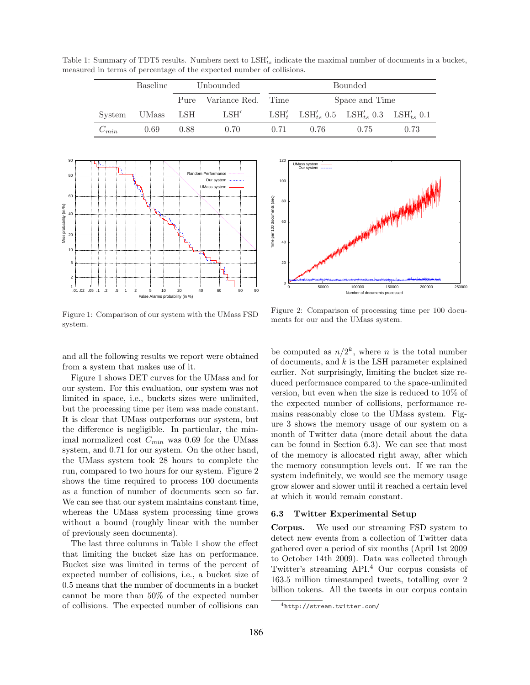Table 1: Summary of TDT5 results. Numbers next to  $LSH'_{ts}$  indicate the maximal number of documents in a bucket, measured in terms of percentage of the expected number of collisions.

|           | <b>Baseline</b> | Unbounded |                               | <b>Bounded</b> |      |                                                                                        |      |
|-----------|-----------------|-----------|-------------------------------|----------------|------|----------------------------------------------------------------------------------------|------|
|           |                 |           | Pure Variance Red. Time       |                |      | Space and Time                                                                         |      |
| System    | UMass LSH       |           | $\operatorname{LSH}^{\prime}$ |                |      | LSH' <sub>t</sub> LSH' <sub>ts</sub> 0.5 LSH' <sub>ts</sub> 0.3 LSH' <sub>ts</sub> 0.1 |      |
| $C_{min}$ | 0.69            | 0.88      | 0.70                          | 0.71           | 0.76 | 0.75                                                                                   | 0.73 |



Figure 1: Comparison of our system with the UMass FSD system.



and all the following results we report were obtained from a system that makes use of it.

Figure 1 shows DET curves for the UMass and for our system. For this evaluation, our system was not limited in space, i.e., buckets sizes were unlimited, but the processing time per item was made constant. It is clear that UMass outperforms our system, but the difference is negligible. In particular, the minimal normalized cost  $C_{min}$  was 0.69 for the UMass system, and 0.71 for our system. On the other hand, the UMass system took 28 hours to complete the run, compared to two hours for our system. Figure 2 shows the time required to process 100 documents as a function of number of documents seen so far. We can see that our system maintains constant time, whereas the UMass system processing time grows without a bound (roughly linear with the number of previously seen documents).

The last three columns in Table 1 show the effect that limiting the bucket size has on performance. Bucket size was limited in terms of the percent of expected number of collisions, i.e., a bucket size of 0.5 means that the number of documents in a bucket cannot be more than 50% of the expected number of collisions. The expected number of collisions can

Figure 2: Comparison of processing time per 100 documents for our and the UMass system.

be computed as  $n/2^k$ , where *n* is the total number of documents, and  $k$  is the LSH parameter explained earlier. Not surprisingly, limiting the bucket size reduced performance compared to the space-unlimited version, but even when the size is reduced to 10% of the expected number of collisions, performance remains reasonably close to the UMass system. Figure 3 shows the memory usage of our system on a month of Twitter data (more detail about the data can be found in Section 6.3). We can see that most of the memory is allocated right away, after which the memory consumption levels out. If we ran the system indefinitely, we would see the memory usage grow slower and slower until it reached a certain level at which it would remain constant.

#### 6.3 Twitter Experimental Setup

Corpus. We used our streaming FSD system to detect new events from a collection of Twitter data gathered over a period of six months (April 1st 2009 to October 14th 2009). Data was collected through Twitter's streaming API.<sup>4</sup> Our corpus consists of 163.5 million timestamped tweets, totalling over 2 billion tokens. All the tweets in our corpus contain

<sup>4</sup>http://stream.twitter.com/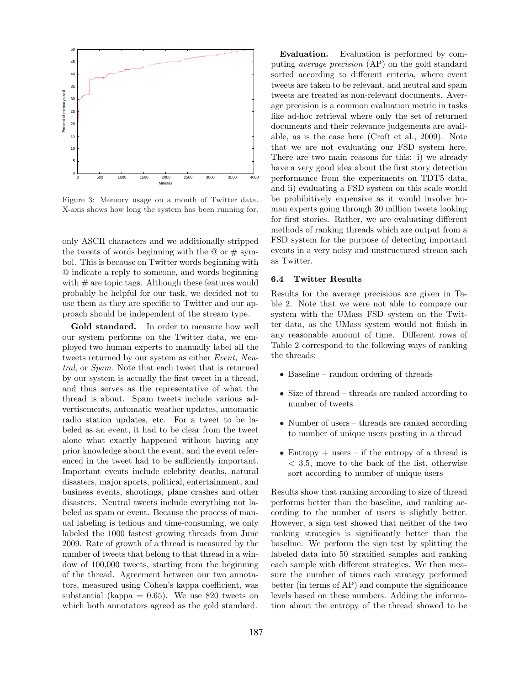

Figure 3: Memory usage on a month of Twitter data. X-axis shows how long the system has been running for.

only ASCII characters and we additionally stripped the tweets of words beginning with the  $\mathcal Q$  or  $\#$  symbol. This is because on Twitter words beginning with @ indicate a reply to someone, and words beginning with  $\#$  are topic tags. Although these features would probably be helpful for our task, we decided not to use them as they are specific to Twitter and our approach should be independent of the stream type.

Gold standard. In order to measure how well our system performs on the Twitter data, we employed two human experts to manually label all the tweets returned by our system as either Event, Neutral, or Spam. Note that each tweet that is returned by our system is actually the first tweet in a thread, and thus serves as the representative of what the thread is about. Spam tweets include various advertisements, automatic weather updates, automatic radio station updates, etc. For a tweet to be labeled as an event, it had to be clear from the tweet alone what exactly happened without having any prior knowledge about the event, and the event referenced in the tweet had to be sufficiently important. Important events include celebrity deaths, natural disasters, major sports, political, entertainment, and business events, shootings, plane crashes and other disasters. Neutral tweets include everything not labeled as spam or event. Because the process of manual labeling is tedious and time-consuming, we only labeled the 1000 fastest growing threads from June 2009. Rate of growth of a thread is measured by the number of tweets that belong to that thread in a window of 100,000 tweets, starting from the beginning of the thread. Agreement between our two annotators, measured using Cohen's kappa coefficient, was substantial (kappa  $= 0.65$ ). We use 820 tweets on which both annotators agreed as the gold standard.

Evaluation. Evaluation is performed by computing average precision (AP) on the gold standard sorted according to different criteria, where event tweets are taken to be relevant, and neutral and spam tweets are treated as non-relevant documents. Average precision is a common evaluation metric in tasks like ad-hoc retrieval where only the set of returned documents and their relevance judgements are available, as is the case here (Croft et al., 2009). Note that we are not evaluating our FSD system here. There are two main reasons for this: i) we already have a very good idea about the first story detection performance from the experiments on TDT5 data, and ii) evaluating a FSD system on this scale would be prohibitively expensive as it would involve human experts going through 30 million tweets looking for first stories. Rather, we are evaluating different methods of ranking threads which are output from a FSD system for the purpose of detecting important events in a very noisy and unstructured stream such as Twitter.

#### 6.4 Twitter Results

Results for the average precisions are given in Table 2. Note that we were not able to compare our system with the UMass FSD system on the Twitter data, as the UMass system would not finish in any reasonable amount of time. Different rows of Table 2 correspond to the following ways of ranking the threads:

- Baseline random ordering of threads
- Size of thread threads are ranked according to number of tweets
- Number of users threads are ranked according to number of unique users posting in a thread
- Entropy  $+$  users  $-$  if the entropy of a thread is < 3.5, move to the back of the list, otherwise sort according to number of unique users

Results show that ranking according to size of thread performs better than the baseline, and ranking according to the number of users is slightly better. However, a sign test showed that neither of the two ranking strategies is significantly better than the baseline. We perform the sign test by splitting the labeled data into 50 stratified samples and ranking each sample with different strategies. We then measure the number of times each strategy performed better (in terms of AP) and compute the significance levels based on these numbers. Adding the information about the entropy of the thread showed to be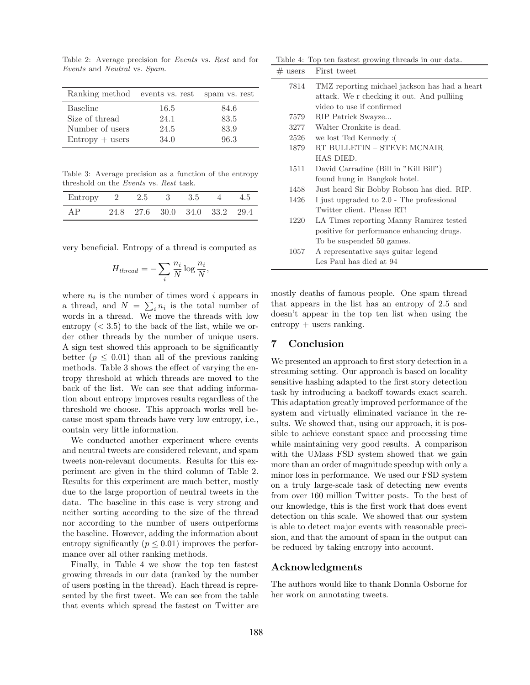Table 2: Average precision for Events vs. Rest and for Events and Neutral vs. Spam.

| Ranking method events vs. rest spam vs. rest |      |      |
|----------------------------------------------|------|------|
| <b>Baseline</b>                              | 16.5 | 84.6 |
| Size of thread                               | 24.1 | 83.5 |
| Number of users                              | 24.5 | 83.9 |
| $Entropy + users$                            | 34.0 | 96.3 |

Table 3: Average precision as a function of the entropy threshold on the Events vs. Rest task.

| Entropy 2 2.5 3 3.5 4 4.5 |  |                               |  |
|---------------------------|--|-------------------------------|--|
| AP                        |  | 24.8 27.6 30.0 34.0 33.2 29.4 |  |

very beneficial. Entropy of a thread is computed as

$$
H_{thread} = -\sum_{i} \frac{n_i}{N} \log \frac{n_i}{N},
$$

where  $n_i$  is the number of times word *i* appears in a thread, and  $N = \sum_i n_i$  is the total number of words in a thread. We move the threads with low entropy  $( $3.5$ ) to the back of the list, while we or$ der other threads by the number of unique users. A sign test showed this approach to be significantly better ( $p \leq 0.01$ ) than all of the previous ranking methods. Table 3 shows the effect of varying the entropy threshold at which threads are moved to the back of the list. We can see that adding information about entropy improves results regardless of the threshold we choose. This approach works well because most spam threads have very low entropy, i.e., contain very little information.

We conducted another experiment where events and neutral tweets are considered relevant, and spam tweets non-relevant documents. Results for this experiment are given in the third column of Table 2. Results for this experiment are much better, mostly due to the large proportion of neutral tweets in the data. The baseline in this case is very strong and neither sorting according to the size of the thread nor according to the number of users outperforms the baseline. However, adding the information about entropy significantly ( $p \leq 0.01$ ) improves the performance over all other ranking methods.

Finally, in Table 4 we show the top ten fastest growing threads in our data (ranked by the number of users posting in the thread). Each thread is represented by the first tweet. We can see from the table that events which spread the fastest on Twitter are

Table 4: Top ten fastest growing threads in our data.

|      | $#$ users First tweet                         |  |  |
|------|-----------------------------------------------|--|--|
| 7814 | TMZ reporting michael jackson has had a heart |  |  |
|      | attack. We r checking it out. And pulling     |  |  |
|      | video to use if confirmed                     |  |  |
| 7579 | RIP Patrick Swayze                            |  |  |
| 3277 | Walter Cronkite is dead.                      |  |  |
| 2526 | we lost Ted Kennedy:                          |  |  |
| 1879 | RT BULLETIN - STEVE MCNAIR                    |  |  |
|      | HAS DIED.                                     |  |  |
| 1511 | David Carradine (Bill in "Kill Bill")         |  |  |
|      | found hung in Bangkok hotel.                  |  |  |
| 1458 | Just heard Sir Bobby Robson has died. RIP.    |  |  |
| 1426 | I just upgraded to 2.0 - The professional     |  |  |
|      | Twitter client. Please RT!                    |  |  |
| 1220 | LA Times reporting Manny Ramirez tested       |  |  |
|      | positive for performance enhancing drugs.     |  |  |
|      | To be suspended 50 games.                     |  |  |
| 1057 | A representative says guitar legend           |  |  |
|      | Les Paul has died at 94                       |  |  |

mostly deaths of famous people. One spam thread that appears in the list has an entropy of 2.5 and doesn't appear in the top ten list when using the  $entropy + users ranking.$ 

# 7 Conclusion

We presented an approach to first story detection in a streaming setting. Our approach is based on locality sensitive hashing adapted to the first story detection task by introducing a backoff towards exact search. This adaptation greatly improved performance of the system and virtually eliminated variance in the results. We showed that, using our approach, it is possible to achieve constant space and processing time while maintaining very good results. A comparison with the UMass FSD system showed that we gain more than an order of magnitude speedup with only a minor loss in performance. We used our FSD system on a truly large-scale task of detecting new events from over 160 million Twitter posts. To the best of our knowledge, this is the first work that does event detection on this scale. We showed that our system is able to detect major events with reasonable precision, and that the amount of spam in the output can be reduced by taking entropy into account.

#### Acknowledgments

The authors would like to thank Donnla Osborne for her work on annotating tweets.